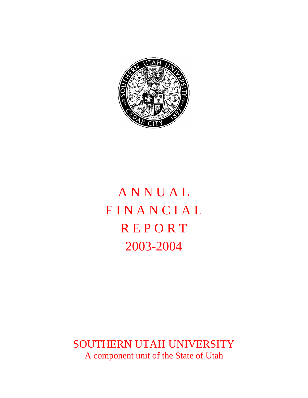

# **ANNUAL FINANCIAL REPORT** 2003-2004

SOUTHERN UTAH UNIVERSITY A component unit of the State of Utah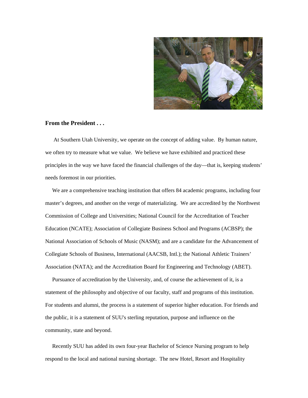

#### **From the President . . .**

 At Southern Utah University, we operate on the concept of adding value. By human nature, we often try to measure what we value. We believe we have exhibited and practiced these principles in the way we have faced the financial challenges of the day—that is, keeping students' needs foremost in our priorities.

 We are a comprehensive teaching institution that offers 84 academic programs, including four master's degrees, and another on the verge of materializing. We are accredited by the Northwest Commission of College and Universities; National Council for the Accreditation of Teacher Education (NCATE); Association of Collegiate Business School and Programs (ACBSP); the National Association of Schools of Music (NASM); and are a candidate for the Advancement of Collegiate Schools of Business, International (AACSB, Intl.); the National Athletic Trainers' Association (NATA); and the Accreditation Board for Engineering and Technology (ABET).

 Pursuance of accreditation by the University, and, of course the achievement of it, is a statement of the philosophy and objective of our faculty, staff and programs of this institution. For students and alumni, the process is a statement of superior higher education. For friends and the public, it is a statement of SUU's sterling reputation, purpose and influence on the community, state and beyond.

 Recently SUU has added its own four-year Bachelor of Science Nursing program to help respond to the local and national nursing shortage. The new Hotel, Resort and Hospitality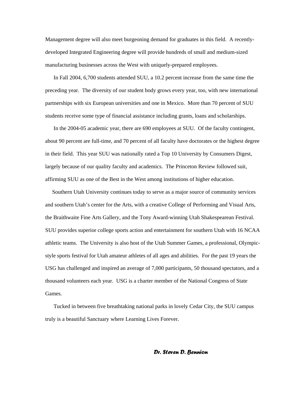Management degree will also meet burgeoning demand for graduates in this field. A recentlydeveloped Integrated Engineering degree will provide hundreds of small and medium-sized manufacturing businesses across the West with uniquely-prepared employees.

 In Fall 2004, 6,700 students attended SUU, a 10.2 percent increase from the same time the preceding year. The diversity of our student body grows every year, too, with new international partnerships with six European universities and one in Mexico. More than 70 percent of SUU students receive some type of financial assistance including grants, loans and scholarships.

 In the 2004-05 academic year, there are 690 employees at SUU. Of the faculty contingent, about 90 percent are full-time, and 70 percent of all faculty have doctorates or the highest degree in their field. This year SUU was nationally rated a Top 10 University by Consumers Digest, largely because of our quality faculty and academics. The Princeton Review followed suit, affirming SUU as one of the Best in the West among institutions of higher education.

 Southern Utah University continues today to serve as a major source of community services and southern Utah's center for the Arts, with a creative College of Performing and Visual Arts, the Braithwaite Fine Arts Gallery, and the Tony Award-winning Utah Shakespearean Festival. SUU provides superior college sports action and entertainment for southern Utah with 16 NCAA athletic teams. The University is also host of the Utah Summer Games, a professional, Olympicstyle sports festival for Utah amateur athletes of all ages and abilities. For the past 19 years the USG has challenged and inspired an average of 7,000 participants, 50 thousand spectators, and a thousand volunteers each year. USG is a charter member of the National Congress of State Games.

 Tucked in between five breathtaking national parks in lovely Cedar City, the SUU campus truly is a beautiful Sanctuary where Learning Lives Forever.

#### *Dr. Steven D. Bennion*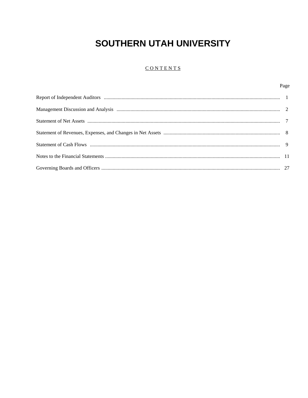#### CONTENTS

Page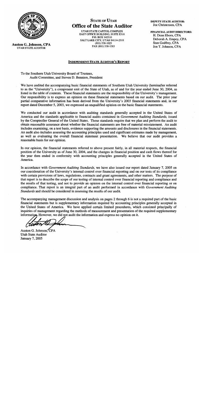

**Auston G. Johnson, CPA UTAH STATE AUDITOR** 

# **STATE OF UTAH Office of the State Auditor**

UTAH STATE CAPITOL COMPLEX **EAST OFFICE BUILDING, SUITE E310** P.O. BOX 142310 SALT LAKE CITY, UTAH 84114-2310 (801) 538-1025 FAX (801) 538-1383

#### **INDEPENDENT STATE AUDITOR'S REPORT**

**DEPUTY STATE AUDITOR:** Joe Christensen, CPA

**FINANCIAL AUDIT DIRECTORS:** H. Dean Eborn, CPA Deborah A. Empey, CPA Stan Godfrey, CPA Jon T. Johnson, CPA

To the Southern Utah University Board of Trustees, Audit Committee, and Steven D. Bennion, President

We have audited the accompanying basic financial statements of Southern Utah University (hereinafter referred to as the "University"), a component unit of the State of Utah, as of and for the year ended June 30, 2004, as listed in the table of contents. These financial statements are the responsibility of the University's management. Our responsibility is to express an opinion on these financial statements based on our audit. The prior year partial comparative information has been derived from the University's 2003 financial statements and, in our report dated December 5, 2003, we expressed an unqualified opinion on the basic financial statements.

We conducted our audit in accordance with auditing standards generally accepted in the United States of America and the standards applicable to financial audits contained in Government Auditing Standards, issued by the Comptroller General of the United States. Those standards require that we plan and perform the audit to obtain reasonable assurance about whether the financial statements are free of material misstatement. An audit includes examining, on a test basis, evidence supporting the amounts and disclosures in the financial statements. An audit also includes assessing the accounting principles used and significant estimates made by management, as well as evaluating the overall financial statement presentation. We believe that our audit provides a reasonable basis for our opinion.

In our opinion, the financial statements referred to above present fairly, in all material respects, the financial position of the University as of June 30, 2004, and the changes in financial position and cash flows thereof for the year then ended in conformity with accounting principles generally accepted in the United States of America.

In accordance with *Government Auditing Standards*, we have also issued our report dated January 7, 2005 on our consideration of the University's internal control over financial reporting and on our tests of its compliance with certain provisions of laws, regulations, contracts and grant agreements, and other matters. The purpose of that report is to describe the scope of our testing of internal control over financial reporting and compliance and the results of that testing, and not to provide an opinion on the internal control over financial reporting or on compliance. That report is an integral part of an audit performed in accordance with Government Auditing Standards and should be considered in assessing the results of our audit.

The accompanying management discussion and analysis on pages 2 through 6 is not a required part of the basic financial statements but is supplementary information required by accounting principles generally accepted in the United States of America. We have applied certain limited procedures, which consisted principally of inquiries of management regarding the methods of measurement and presentation of the required supplementary information, However, we did not audit the information and express no opinion on it.

Auston G. Johnson, CPA **Utah State Auditor** January 7, 2005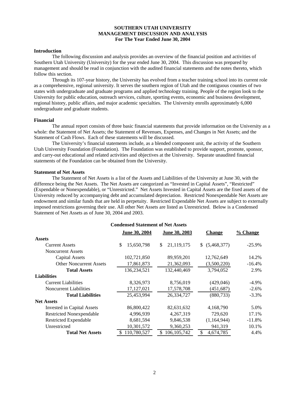#### **SOUTHERN UTAH UNIVERSITY MANAGEMENT DISCUSSION AND ANALYSIS For The Year Ended June 30, 2004**

#### **Introduction**

 The following discussion and analysis provides an overview of the financial position and activities of Southern Utah University (University) for the year ended June 30, 2004. This discussion was prepared by management and should be read in conjunction with the audited financial statements and the notes thereto, which follow this section.

 Through its 107-year history, the University has evolved from a teacher training school into its current role as a comprehensive, regional university. It serves the southern region of Utah and the contiguous counties of two states with undergraduate and graduate programs and applied technology training. People of the region look to the University for public education, outreach services, culture, sporting events, economic and business development, regional history, public affairs, and major academic specialties. The University enrolls approximately 6,000 undergraduate and graduate students.

#### **Financial**

 The annual report consists of three basic financial statements that provide information on the University as a whole: the Statement of Net Assets; the Statement of Revenues, Expenses, and Changes in Net Assets; and the Statement of Cash Flows. Each of these statements will be discussed.

 The University's financial statements include, as a blended component unit, the activity of the Southern Utah University Foundation (Foundation). The Foundation was established to provide support, promote, sponsor, and carry-out educational and related activities and objectives at the University. Separate unaudited financial statements of the Foundation can be obtained from the University.

#### **Statement of Net Assets**

The Statement of Net Assets is a list of the Assets and Liabilities of the University at June 30, with the difference being the Net Assets. The Net Assets are categorized as "Invested in Capital Assets", "Restricted" (Expendable or Nonexpendable), or "Unrestricted." Net Assets Invested in Capital Assets are the fixed assets of the University reduced by accompanying debt and accumulated depreciation. Restricted Nonexpendable Net Assets are endowment and similar funds that are held in perpetuity. Restricted Expendable Net Assets are subject to externally imposed restrictions governing their use. All other Net Assets are listed as Unrestricted.Below is a Condensed Statement of Net Assets as of June 30, 2004 and 2003.

| <b>Condensed Statement of Net Assets</b> |                      |                      |                   |           |  |  |  |  |  |
|------------------------------------------|----------------------|----------------------|-------------------|-----------|--|--|--|--|--|
|                                          | <b>June 30, 2004</b> | <b>June 30, 2003</b> | <b>Change</b>     | % Change  |  |  |  |  |  |
| <b>Assets</b>                            |                      |                      |                   |           |  |  |  |  |  |
| <b>Current Assets</b>                    | \$<br>15,650,798     | \$<br>21,119,175     | (5,468,377)<br>\$ | $-25.9\%$ |  |  |  |  |  |
| <b>Noncurrent Assets</b>                 |                      |                      |                   |           |  |  |  |  |  |
| <b>Capital Assets</b>                    | 102,721,850          | 89,959,201           | 12,762,649        | 14.2%     |  |  |  |  |  |
| <b>Other Noncurrent Assets</b>           | 17,861,873           | 21,362,093           | (3,500,220)       | $-16.4%$  |  |  |  |  |  |
| <b>Total Assets</b>                      | 136,234,521          | 132,440,469          | 3,794,052         | 2.9%      |  |  |  |  |  |
| <b>Liabilities</b>                       |                      |                      |                   |           |  |  |  |  |  |
| <b>Current Liabilities</b>               | 8,326,973            | 8,756,019            | (429,046)         | $-4.9\%$  |  |  |  |  |  |
| <b>Noncurrent Liabilities</b>            | 17, 127, 021         | 17,578,708           | (451, 687)        | $-2.6\%$  |  |  |  |  |  |
| <b>Total Liabilities</b>                 | 25.453.994           | 26,334,727           | (880, 733)        | $-3.3\%$  |  |  |  |  |  |
| <b>Net Assets</b>                        |                      |                      |                   |           |  |  |  |  |  |
| <b>Invested in Capital Assets</b>        | 86,800,422           | 82,631,632           | 4,168,790         | 5.0%      |  |  |  |  |  |
| <b>Restricted Nonexpendable</b>          | 4,996,939            | 4,267,319            | 729,620           | 17.1%     |  |  |  |  |  |
| Restricted Expendable                    | 8,681,594            | 9,846,538            | (1,164,944)       | $-11.8%$  |  |  |  |  |  |
| Unrestricted                             | 10,301,572           | 9,360,253            | 941,319           | 10.1%     |  |  |  |  |  |
| <b>Total Net Assets</b>                  | 110,780,527<br>\$.   | 106, 105, 742<br>S.  | 4,674,785         | 4.4%      |  |  |  |  |  |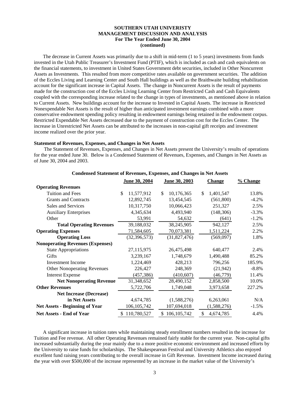#### **SOUTHERN UTAH UNIVERISTY MANAGEMENT DISCUSSION AND ANALYSIS For The Year Ended June 30, 2004 (continued)**

 The decrease in Current Assets was primarily due to a shift in mid-term (1 to 5 years) investments from funds invested in the Utah Public Treasurer's Investment Fund (PTIF), which is included as cash and cash equivalents on the financial statements, to investment in United States Government debt securities, included in Other Noncurrent Assets as Investments. This resulted from more competitive rates available on government securities. The addition of the Eccles Living and Learning Center and South Hall buildings as well as the Braithwaite building rehabilitation account for the significant increase in Capital Assets. The change in Noncurrent Assets is the result of payments made for the construction cost of the Eccles Living Learning Center from Restricted Cash and Cash Equivalents coupled with the corresponding increase related to the change in types of investments, as mentioned above in relation to Current Assets. New buildings account for the increase to Invested in Capital Assets. The increase in Restricted Nonexpendable Net Assets is the result of higher than anticipated investment earnings combined with a more conservative endowment spending policy resulting in endowment earnings being retained in the endowment corpus. Restricted Expendable Net Assets decreased due to the payment of construction cost for the Eccles Center. The increase in Unrestricted Net Assets can be attributed to the increases in non-capital gift receipts and investment income realized over the prior year.

#### **Statement of Revenues, Expenses, and Changes in Net Assets**

 The Statement of Revenues, Expenses, and Changes in Net Assets present the University's results of operations for the year ended June 30. Below is a Condensed Statement of Revenues, Expenses, and Changes in Net Assets as of June 30, 2004 and 2003.

|                                         | June 30, 2004<br>June 30, 2003 |                    | <b>Change</b>   | % Change |  |
|-----------------------------------------|--------------------------------|--------------------|-----------------|----------|--|
| <b>Operating Revenues</b>               |                                |                    |                 |          |  |
| Tuition and Fees                        | \$<br>11,577,912               | \$<br>10,176,365   | 1,401,547<br>\$ | 13.8%    |  |
| <b>Grants and Contracts</b>             | 12,892,745                     | 13,454,545         | (561,800)       | $-4.2%$  |  |
| Sales and Services                      | 10,317,750                     | 10,066,423         | 251,327         | 2.5%     |  |
| <b>Auxiliary Enterprises</b>            | 4,345,634                      | 4,493,940          | (148, 306)      | $-3.3%$  |  |
| Other                                   | 53,991                         | 54,632             | (641)           | $-1.2%$  |  |
| <b>Total Operating Revenues</b>         | 39,188,032                     | 38,245,905         | 942,127         | 2.5%     |  |
| <b>Operating Expenses</b>               | 71,584,605                     | 70,073,381         | 1,511,224       | 2.2%     |  |
| <b>Operating Loss</b>                   | (32, 396, 573)                 | (31,827,476)       | (569,097)       | 1.8%     |  |
| <b>Nonoperating Revenues (Expenses)</b> |                                |                    |                 |          |  |
| <b>State Appropriations</b>             | 27,115,975                     | 26,475,498         | 640,477         | 2.4%     |  |
| Gifts                                   | 3,239,167                      | 1,748,679          | 1,490,488       | 85.2%    |  |
| <b>Investment</b> Income                | 1,224,469                      | 428,213            | 796,256         | 185.9%   |  |
| <b>Other Nonoperating Revenues</b>      | 226,427                        | 248,369            | (21, 942)       | $-8.8%$  |  |
| <b>Interest Expense</b>                 | (457, 386)                     | (410, 607)         | (46, 779)       | 11.4%    |  |
| <b>Net Nonoperating Revenue</b>         | 31,348,652                     | 28,490,152         | 2,858,500       | 10.0%    |  |
| <b>Other Revenues</b>                   | 5,722,706                      | 1,749,048          | 3,973,658       | 227.2%   |  |
| <b>Net Increase (Decrease)</b>          |                                |                    |                 |          |  |
| in Net Assets                           | 4,674,785                      | (1,588,276)        | 6,263,061       | N/A      |  |
| <b>Net Assets - Beginning of Year</b>   | 106, 105, 742                  | 107,694,018        | (1,588,276)     | $-1.5%$  |  |
| <b>Net Assets - End of Year</b>         | \$110,780,527                  | 106, 105, 742<br>S | 4,674,785<br>S  | 4.4%     |  |

#### **Condensed Statement of Revenues, Expenses, and Changes in Net Assets**

 A significant increase in tuition rates while maintaining steady enrollment numbers resulted in the increase for Tuition and Fee revenue. All other Operating Revenues remained fairly stable for the current year. Non-capital gifts increased substantially during the year mainly due to a more positive economic environment and increased efforts by the University to raise funds for scholarships. The Shakespearean Festival and University Athletics also enjoyed excellent fund raising years contributing to the overall increase in Gift Revenue. Investment Income increased during the year with over \$500,000 of the increase represented by an increase in the market value of the University's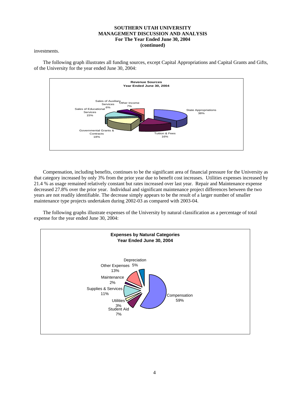#### **SOUTHERN UTAH UNIVERSITY MANAGEMENT DISCUSSION AND ANALYSIS For The Year Ended June 30, 2004 (continued)**

investments.

 The following graph illustrates all funding sources, except Capital Appropriations and Capital Grants and Gifts, of the University for the year ended June 30, 2004:



 Compensation, including benefits, continues to be the significant area of financial pressure for the University as that category increased by only 3% from the prior year due to benefit cost increases. Utilities expenses increased by 21.4 % as usage remained relatively constant but rates increased over last year. Repair and Maintenance expense decreased 27.8% over the prior year. Individual and significant maintenance project differences between the two years are not readily identifiable. The decrease simply appears to be the result of a larger number of smaller maintenance type projects undertaken during 2002-03 as compared with 2003-04.

 The following graphs illustrate expenses of the University by natural classification as a percentage of total expense for the year ended June 30, 2004:

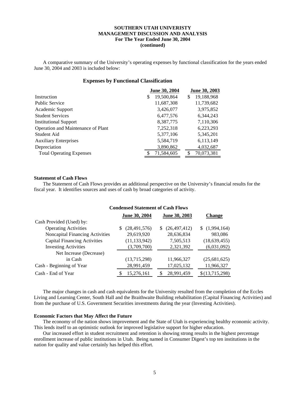#### **SOUTHERN UTAH UNIVERISTY MANAGEMENT DISCUSSION AND ANALYSIS For The Year Ended June 30, 2004 (continued)**

 A comparative summary of the University's operating expenses by functional classification for the years ended June 30, 2004 and 2003 is included below:

#### **Expenses by Functional Classification**

|                                    | June 30, 2004   | June 30, 2003    |
|------------------------------------|-----------------|------------------|
| Instruction                        | 19,500,864<br>S | 19,188,968<br>\$ |
| <b>Public Service</b>              | 11,687,308      | 11,739,682       |
| Academic Support                   | 3,426,077       | 3,975,852        |
| <b>Student Services</b>            | 6,477,576       | 6,344,243        |
| <b>Institutional Support</b>       | 8,387,775       | 7,110,306        |
| Operation and Maintenance of Plant | 7,252,318       | 6,223,293        |
| Student Aid                        | 5,377,106       | 5,345,201        |
| <b>Auxiliary Enterprises</b>       | 5,584,719       | 6,113,149        |
| Depreciation                       | 3,890,862       | 4,032,687        |
| <b>Total Operating Expenses</b>    | 71,584,605      | 70,073,381       |

#### **Statement of Cash Flows**

 The Statement of Cash Flows provides an additional perspective on the University's financial results for the fiscal year. It identifies sources and uses of cash by broad categories of activity.

#### **Condensed Statement of Cash Flows**

|                                     | June 30, 2004  | June 30, 2003       | <b>Change</b>  |
|-------------------------------------|----------------|---------------------|----------------|
| Cash Provided (Used) by:            |                |                     |                |
| <b>Operating Activities</b>         | (28, 491, 576) | (26, 497, 412)<br>S | \$(1,994,164)  |
| Noncapital Financing Activities     | 29,619,920     | 28,636,834          | 983,086        |
| <b>Capital Financing Activities</b> | (11, 133, 942) | 7,505,513           | (18, 639, 455) |
| <b>Investing Activities</b>         | (3,709,700)    | 2,321,392           | (6,031,092)    |
| Net Increase (Decrease)             |                |                     |                |
| in Cash                             | (13,715,298)   | 11,966,327          | (25,681,625)   |
| Cash - Beginning of Year            | 28,991,459     | 17,025,132          | 11,966,327     |
| Cash - End of Year                  | 15,276,161     | 28,991,459          | \$(13,715,298) |

 The major changes in cash and cash equivalents for the University resulted from the completion of the Eccles Living and Learning Center, South Hall and the Braithwaite Building rehabilitation (Capital Financing Activities) and from the purchase of U.S. Government Securities investments during the year (Investing Activities).

#### **Economic Factors that May Affect the Future**

 The economy of the nation shows improvement and the State of Utah is experiencing healthy economic activity. This lends itself to an optimistic outlook for improved legislative support for higher education.

 Our increased effort in student recruitment and retention is showing strong results in the highest percentage enrollment increase of public institutions in Utah. Being named in Consumer Digest's top ten institutions in the nation for quality and value certainly has helped this effort.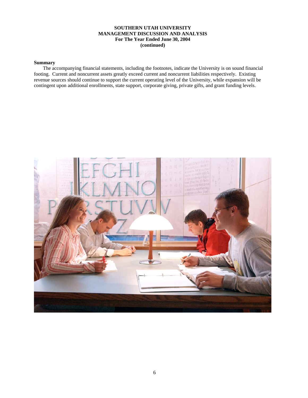#### **SOUTHERN UTAH UNIVERSITY MANAGEMENT DISCUSSION AND ANALYSIS For The Year Ended June 30, 2004 (continued)**

#### **Summary**

 The accompanying financial statements, including the footnotes, indicate the University is on sound financial footing. Current and noncurrent assets greatly exceed current and noncurrent liabilities respectively. Existing revenue sources should continue to support the current operating level of the University, while expansion will be contingent upon additional enrollments, state support, corporate giving, private gifts, and grant funding levels.

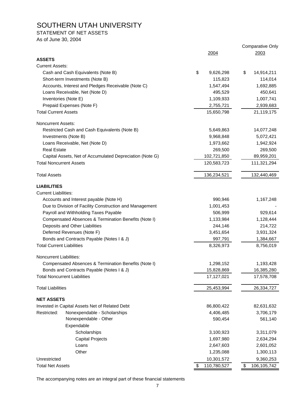#### STATEMENT OF NET ASSETS

As of June 30, 2004

|                                                          |                   | <b>Comparative Only</b> |
|----------------------------------------------------------|-------------------|-------------------------|
| <b>ASSETS</b>                                            | 2004              | 2003                    |
| <b>Current Assets:</b>                                   |                   |                         |
| Cash and Cash Equivalents (Note B)                       | \$<br>9,626,298   | \$<br>14,914,211        |
| Short-term Investments (Note B)                          | 115,823           | 114,014                 |
| Accounts, Interest and Pledges Receivable (Note C)       | 1,547,494         | 1,692,885               |
| Loans Receivable, Net (Note D)                           | 495,529           | 450,641                 |
| Inventories (Note E)                                     | 1,109,933         | 1,007,741               |
| Prepaid Expenses (Note F)                                | 2,755,721         | 2,939,683               |
| <b>Total Current Assets</b>                              | 15,650,798        | 21,119,175              |
|                                                          |                   |                         |
| Noncurrent Assets:                                       |                   |                         |
| Restricted Cash and Cash Equivalents (Note B)            | 5,649,863         | 14,077,248              |
| Investments (Note B)                                     | 9,968,848         | 5,072,421               |
| Loans Receivable, Net (Note D)                           | 1,973,662         | 1,942,924               |
| <b>Real Estate</b>                                       | 269,500           | 269,500                 |
| Capital Assets, Net of Accumulated Depreciation (Note G) | 102,721,850       | 89,959,201              |
| <b>Total Noncurrent Assets</b>                           | 120,583,723       | 111,321,294             |
| <b>Total Assets</b>                                      | 136,234,521       | 132,440,469             |
| <b>LIABILITIES</b>                                       |                   |                         |
| <b>Current Liabilities:</b>                              |                   |                         |
| Accounts and Interest payable (Note H)                   | 990,946           | 1,167,248               |
| Due to Division of Facility Construction and Management  | 1,001,453         |                         |
| Payroll and Withholding Taxes Payable                    | 506,999           | 929,614                 |
| Compensated Absences & Termination Benefits (Note I)     | 1,133,984         | 1,128,444               |
| Deposits and Other Liabilities                           | 244,146           | 214,722                 |
| Deferred Revenues (Note F)                               | 3,451,654         | 3,931,324               |
| Bonds and Contracts Payable (Notes I & J)                | 997,791           | 1,384,667               |
| <b>Total Current Liabilities</b>                         | 8,326,973         | 8,756,019               |
| Noncurrent Liabilities:                                  |                   |                         |
| Compensated Absences & Termination Benefits (Note I)     | 1,298,152         | 1,193,428               |
| Bonds and Contracts Payable (Notes I & J)                | 15,828,869        | 16,385,280              |
| <b>Total Noncurrent Liabilities</b>                      | 17,127,021        | 17,578,708              |
| <b>Total Liabilities</b>                                 | 25,453,994        | 26,334,727              |
| <b>NET ASSETS</b>                                        |                   |                         |
| Invested in Capital Assets Net of Related Debt           | 86,800,422        | 82,631,632              |
| Restricted:<br>Nonexpendable - Scholarships              | 4,406,485         | 3,706,179               |
| Nonexpendable - Other                                    | 590,454           | 561,140                 |
| Expendable                                               |                   |                         |
| Scholarships                                             | 3,100,923         | 3,311,079               |
| <b>Capital Projects</b>                                  | 1,697,980         | 2,634,294               |
| Loans                                                    | 2,647,603         | 2,601,052               |
| Other                                                    | 1,235,088         | 1,300,113               |
| Unrestricted                                             | 10,301,572        | 9,360,253               |
| <b>Total Net Assets</b>                                  | 110,780,527<br>\$ | \$<br>106,105,742       |

The accompanying notes are an integral part of these financial statements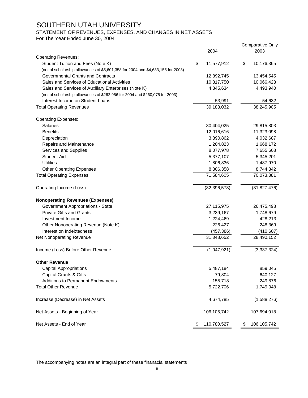STATEMENT OF REVENUES, EXPENSES, AND CHANGES IN NET ASSETS

For The Year Ended June 30, 2004

|                                                                                  |                   | <b>Comparative Only</b> |
|----------------------------------------------------------------------------------|-------------------|-------------------------|
|                                                                                  | <u>2004</u>       | 2003                    |
| <b>Operating Revenues:</b>                                                       |                   |                         |
| Student Tuition and Fees (Note K)                                                | \$<br>11,577,912  | \$<br>10,176,365        |
| (net of scholarship allowances of \$5,601,358 for 2004 and \$4,633,155 for 2003) |                   |                         |
| Governmental Grants and Contracts                                                | 12,892,745        | 13,454,545              |
| Sales and Services of Educational Activities                                     | 10,317,750        | 10,066,423              |
| Sales and Services of Auxiliary Enterprises (Note K)                             | 4,345,634         | 4,493,940               |
| (net of scholarship allowances of \$262,956 for 2004 and \$260,075 for 2003)     |                   |                         |
| Interest Income on Student Loans                                                 | 53,991            | 54,632                  |
| <b>Total Operating Revenues</b>                                                  | 39,188,032        | 38,245,905              |
| <b>Operating Expenses:</b>                                                       |                   |                         |
| <b>Salaries</b>                                                                  | 30,404,025        | 29,815,803              |
| <b>Benefits</b>                                                                  | 12,016,616        | 11,323,098              |
| Depreciation                                                                     | 3,890,862         | 4,032,687               |
| Repairs and Maintenance                                                          | 1,204,823         | 1,668,172               |
| Services and Supplies                                                            | 8,077,978         | 7,655,608               |
| <b>Student Aid</b>                                                               | 5,377,107         | 5,345,201               |
| Utilities                                                                        | 1,806,836         | 1,487,970               |
| <b>Other Operating Expenses</b>                                                  | 8,806,358         | 8,744,842               |
| <b>Total Operating Expenses</b>                                                  | 71,584,605        | 70,073,381              |
| Operating Income (Loss)                                                          | (32, 396, 573)    | (31, 827, 476)          |
| <b>Nonoperating Revenues (Expenses)</b>                                          |                   |                         |
| Government Appropriations - State                                                | 27,115,975        | 26,475,498              |
| <b>Private Gifts and Grants</b>                                                  | 3,239,167         | 1,748,679               |
| Investment Income                                                                | 1,224,469         | 428,213                 |
| Other Nonoperating Revenue (Note K)                                              | 226,427           | 248,369                 |
| Interest on Indebtedness                                                         | (457, 386)        | (410, 607)              |
| Net Nonoperating Revenue                                                         | 31,348,652        | 28,490,152              |
| Income (Loss) Before Other Revenue                                               | (1,047,921)       | (3,337,324)             |
| <b>Other Revenue</b>                                                             |                   |                         |
| <b>Capital Appropriations</b>                                                    | 5,487,184         | 859,045                 |
| <b>Capital Grants &amp; Gifts</b>                                                | 79,804            | 640,127                 |
| <b>Additions to Permanent Endowments</b>                                         | 155,718           | 249,876                 |
| <b>Total Other Revenue</b>                                                       | 5,722,706         | 1,749,048               |
| Increase (Decrease) in Net Assets                                                | 4,674,785         | (1,588,276)             |
| Net Assets - Beginning of Year                                                   | 106,105,742       | 107,694,018             |
| Net Assets - End of Year                                                         | \$<br>110,780,527 | \$<br>106,105,742       |
|                                                                                  |                   |                         |

The accompanying notes are an integral part of these finanacial statements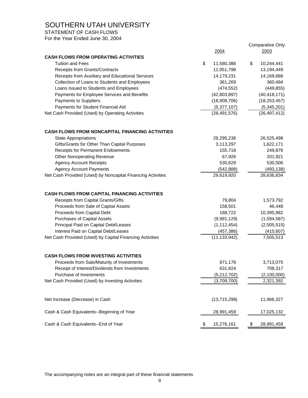STATEMENT OF CASH FLOWS

For the Year Ended June 30, 2004

|                                                             |                  | <b>Comparative Only</b> |
|-------------------------------------------------------------|------------------|-------------------------|
|                                                             | 2004             | 2003                    |
| <b>CASH FLOWS FROM OPERATING ACTIVITIES</b>                 |                  |                         |
| <b>Tuition and Fees</b>                                     | \$<br>11,580,388 | \$<br>10,244,441        |
| Receipts from Grants/Contracts                              | 12,951,798       | 13,194,449              |
| Receipts from Auxiliary and Educational Services            | 14,179,231       | 14,169,888              |
| Collection of Loans to Students and Employees               | 361,269          | 360,494                 |
| Loans Issued to Students and Employees                      | (474, 552)       | (449, 855)              |
| Payments for Employee Services and Benefits                 | (42,803,897)     | (40, 418, 171)          |
| Payments to Suppliers                                       | (18,908,706)     | (18, 253, 457)          |
| Payments for Student Financial Aid                          | (5,377,107)      | (5,345,201)             |
| Net Cash Provided (Used) by Operating Activities            | (28, 491, 576)   | (26, 497, 412)          |
| <b>CASH FLOWS FROM NONCAPITAL FINANCING ACTIVITIES</b>      |                  |                         |
| <b>State Appropriations</b>                                 | 26,295,238       | 26,525,498              |
| Gifts/Grants for Other Than Capital Purposes                | 3,113,297        | 1,622,171               |
| Receipts for Permanent Endowments                           | 155,718          | 249,876                 |
| <b>Other Nonoperating Revenue</b>                           | 67,926           | 201,921                 |
| <b>Agency Account Receipts</b>                              | 530,629          | 530,506                 |
| <b>Agency Account Payments</b>                              | (542, 888)       | (493, 138)              |
| Net Cash Provided (Used) by Noncapital Financing Activities | 29,619,920       | 28,636,834              |
|                                                             |                  |                         |
| <b>CASH FLOWS FROM CAPITAL FINANCING ACTIVITIES</b>         |                  |                         |
| Receipts from Capital Grants/Gifts                          | 79,804           | 1,573,792               |
| Proceeds from Sale of Capital Assets                        | 158,501          | 46,448                  |
| Proceeds from Capital Debt                                  | 188,722          | 10,395,982              |
| <b>Purchases of Capital Assets</b>                          | (9,991,129)      | (1,594,587)             |
| Principal Paid on Capital Debt/Leases                       | (1, 112, 454)    | (2,505,515)             |
| Interest Paid on Capital Debt/Leases                        | (457, 386)       | (410, 607)              |
| Net Cash Provided (Used) by Capital Financing Activities    | (11, 133, 942)   | 7,505,513               |
| <b>CASH FLOWS FROM INVESTING ACTIVITIES</b>                 |                  |                         |
| Proceeds from Sale/Maturity of Investments                  | 871,178          | 3,713,075               |
| Receipt of Interest/Dividends from Investments              | 631,824          | 708,317                 |
| Purchase of Investments                                     | (5,212,702)      | (2,100,000)             |
| Net Cash Provided (Used) by Investing Activities            | (3,709,700)      | 2,321,392               |
|                                                             |                  |                         |
| Net Increase (Decrease) in Cash                             | (13,715,298)     | 11,966,327              |
| Cash & Cash Equivalents--Beginning of Year                  | 28,991,459       | 17,025,132              |
| Cash & Cash Equivalents--End of Year                        | \$<br>15,276,161 | \$<br>28,991,459        |

The accompanying notes are an integral part of these financial statements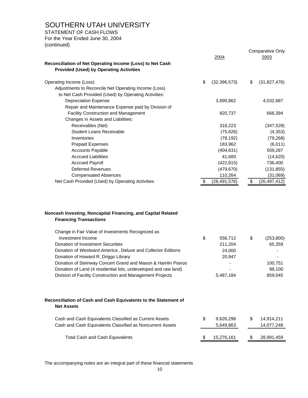STATEMENT OF CASH FLOWS

For the Year Ended June 30, 2004 (continued)

| Reconciliation of Net Operating Income (Loss) to Net Cash<br><b>Provided (Used) by Operating Activities</b> | 2004                 | <b>Comparative Only</b><br>2003 |
|-------------------------------------------------------------------------------------------------------------|----------------------|---------------------------------|
| Operating Income (Loss)                                                                                     | \$<br>(32, 396, 573) | \$<br>(31,827,476)              |
| Adjustments to Reconcile Net Operating Income (Loss)                                                        |                      |                                 |
| to Net Cash Provided (Used) by Operating Activities:                                                        |                      |                                 |
| <b>Depreciation Expense</b>                                                                                 | 3,890,862            | 4,032,687                       |
| Repair and Maintenance Expense paid by Division of                                                          |                      |                                 |
| <b>Facility Construction and Management</b>                                                                 | 820,737              | 666,394                         |
| Changes in Assets and Liabilities:                                                                          |                      |                                 |
| Receivables (Net)                                                                                           | 318,223              | (347, 528)                      |
| Student Loans Receivable                                                                                    | (75, 626)            | (4,353)                         |
| Inventories                                                                                                 | (78, 192)            | (79, 268)                       |
| <b>Prepaid Expenses</b>                                                                                     | 183,962              | (6,011)                         |
| <b>Accounts Payable</b>                                                                                     | (404, 631)           | 509,287                         |
| <b>Accrued Liabilities</b>                                                                                  | 41,683               | (14, 620)                       |
| <b>Accrued Payroll</b>                                                                                      | (422, 615)           | 736,400                         |
| <b>Deferred Revenues</b>                                                                                    | (479, 670)           | (131, 855)                      |
| <b>Compensated Absences</b>                                                                                 | 110,264              | (31,069)                        |
| Net Cash Provided (Used) by Operating Activities                                                            | (28,491,576)         | \$<br>(26, 497, 412)            |

#### **Noncash Investing, Noncapital Financing, and Capital Related Financing Transactions**

| Change in Fair Value of Investments Recognized as                                    |                 |                  |
|--------------------------------------------------------------------------------------|-----------------|------------------|
| Investment Income                                                                    | \$<br>556,712   | \$<br>(253, 800) |
| Donation of Investment Securities                                                    | 211,204         | 65,359           |
| Donation of Westward America, Deluxe and Collector Editions                          | 24,000          |                  |
| Donation of Howard R. Driggs Library                                                 | 20,947          |                  |
| Donation of Steinway Concert Grand and Mason & Hamlin Pianos                         |                 | 100,751          |
| Donation of Land (4 residential lots, undeveloped and raw land)                      |                 | 98,100           |
| Division of Facility Construction and Management Projects                            | 5,487,184       | 859,045          |
|                                                                                      |                 |                  |
| Reconciliation of Cash and Cash Equivalents to the Statement of<br><b>Net Assets</b> |                 |                  |
| Cash and Cash Equivalents Classified as Current Assets                               | \$<br>9,626,298 | \$<br>14,914,211 |
| Cash and Cash Equivalents Classified as Noncurrent Assets                            | 5,649,863       | 14,077,248       |
| Total Cash and Cash Equivalents                                                      | 15,276,161      | \$<br>28,991,459 |

The accompanying notes are an integral part of these financial statements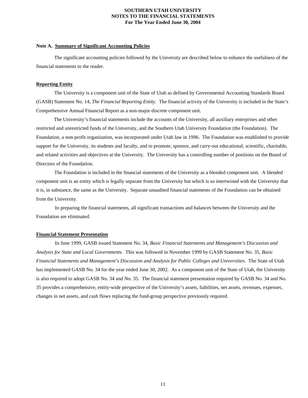#### **Note A. Summary of Significant Accounting Policies**

 The significant accounting policies followed by the University are described below to enhance the usefulness of the financial statements to the reader.

#### **Reporting Entity**

 The University is a component unit of the State of Utah as defined by Governmental Accounting Standards Board (GASB) Statement No. 14, *The Financial Reporting Entity.* The financial activity of the University is included in the State's Comprehensive Annual Financial Report as a non-major discrete component unit.

 The University's financial statements include the accounts of the University, all auxiliary enterprises and other restricted and unrestricted funds of the University, and the Southern Utah University Foundation (the Foundation). The Foundation, a non-profit organization, was incorporated under Utah law in 1996. The Foundation was established to provide support for the University, its students and faculty, and to promote, sponsor, and carry-out educational, scientific, charitable, and related activities and objectives at the University. The University has a controlling number of positions on the Board of Directors of the Foundation.

 The Foundation is included in the financial statements of the University as a blended component unit. A blended component unit is an entity which is legally separate from the University but which is so intertwined with the University that it is, in substance, the same as the University. Separate unaudited financial statements of the Foundation can be obtained from the University.

 In preparing the financial statements, all significant transactions and balances between the University and the Foundation are eliminated.

#### **Financial Statement Presentation**

 In June 1999, GASB issued Statement No. 34, *Basic Financial Statements and Management's Discussion and Analysis for State and Local Governments*. This was followed in November 1999 by GASB Statement No. 35, *Basic Financial Statements and Management's Discussion and Analysis for Public Colleges and Universities*. The State of Utah has implemented GASB No. 34 for the year ended June 30, 2002. As a component unit of the State of Utah, the University is also required to adopt GASB No. 34 and No. 35. The financial statement presentation required by GASB No. 34 and No. 35 provides a comprehensive, entity-wide perspective of the University's assets, liabilities, net assets, revenues, expenses, changes in net assets, and cash flows replacing the fund-group perspective previously required.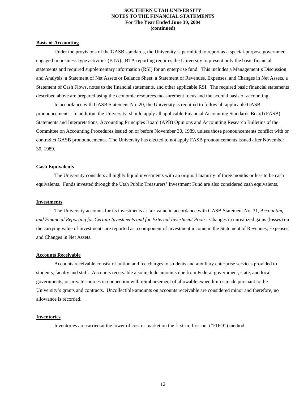#### **Basis of Accounting**

 Under the provisions of the GASB standards, the University is permitted to report as a special-purpose government engaged in business-type activities (BTA). BTA reporting requires the University to present only the basic financial statements and required supplementary information (RSI) for an enterprise fund. This includes a Management's Discussion and Analysis, a Statement of Net Assets or Balance Sheet, a Statement of Revenues, Expenses, and Changes in Net Assets, a Statement of Cash Flows, notes to the financial statements, and other applicable RSI. The required basic financial statements described above are prepared using the economic resources measurement focus and the accrual basis of accounting.

 In accordance with GASB Statement No. 20, the University is required to follow all applicable GASB pronouncements. In addition, the University should apply all applicable Financial Accounting Standards Board (FASB) Statements and Interpretations, Accounting Principles Board (APB) Opinions and Accounting Research Bulletins of the Committee on Accounting Procedures issued on or before November 30, 1989, unless those pronouncements conflict with or contradict GASB pronouncements. The University has elected to not apply FASB pronouncements issued after November 30, 1989.

#### **Cash Equivalents**

 The University considers all highly liquid investments with an original maturity of three months or less to be cash equivalents. Funds invested through the Utah Public Treasurers' Investment Fund are also considered cash equivalents.

#### **Investments**

 The University accounts for its investments at fair value in accordance with GASB Statement No. 31, *Accounting and Financial Reporting for Certain Investments and for External Investment Pools*. Changes in unrealized gains (losses) on the carrying value of investments are reported as a component of investment income in the Statement of Revenues, Expenses, and Changes in Net Assets.

#### **Accounts Receivable**

 Accounts receivable consist of tuition and fee charges to students and auxiliary enterprise services provided to students, faculty and staff. Accounts receivable also include amounts due from Federal government, state, and local governments, or private sources in connection with reimbursement of allowable expenditures made pursuant to the University's grants and contracts. Uncollectible amounts on accounts receivable are considered minor and therefore, no allowance is recorded.

#### **Inventories**

Inventories are carried at the lower of cost or market on the first-in, first-out ("FIFO") method.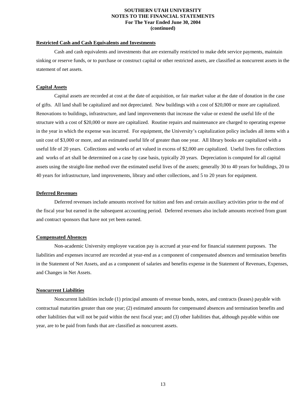#### **Restricted Cash and Cash Equivalents and Investments**

 Cash and cash equivalents and investments that are externally restricted to make debt service payments, maintain sinking or reserve funds, or to purchase or construct capital or other restricted assets, are classified as noncurrent assets in the statement of net assets.

#### **Capital Assets**

 Capital assets are recorded at cost at the date of acquisition, or fair market value at the date of donation in the case of gifts. All land shall be capitalized and not depreciated. New buildings with a cost of \$20,000 or more are capitalized. Renovations to buildings, infrastructure, and land improvements that increase the value or extend the useful life of the structure with a cost of \$20,000 or more are capitalized. Routine repairs and maintenance are charged to operating expense in the year in which the expense was incurred. For equipment, the University's capitalization policy includes all items with a unit cost of \$3,000 or more, and an estimated useful life of greater than one year. All library books are capitalized with a useful life of 20 years. Collections and works of art valued in excess of \$2,000 are capitalized. Useful lives for collections and works of art shall be determined on a case by case basis, typically 20 years. Depreciation is computed for all capital assets using the straight-line method over the estimated useful lives of the assets; generally 30 to 40 years for buildings, 20 to 40 years for infrastructure, land improvements, library and other collections, and 5 to 20 years for equipment.

#### **Deferred Revenues**

 Deferred revenues include amounts received for tuition and fees and certain auxiliary activities prior to the end of the fiscal year but earned in the subsequent accounting period. Deferred revenues also include amounts received from grant and contract sponsors that have not yet been earned.

#### **Compensated Absences**

 Non-academic University employee vacation pay is accrued at year-end for financial statement purposes. The liabilities and expenses incurred are recorded at year-end as a component of compensated absences and termination benefits in the Statement of Net Assets, and as a component of salaries and benefits expense in the Statement of Revenues, Expenses, and Changes in Net Assets.

#### **Noncurrent Liabilities**

 Noncurrent liabilities include (1) principal amounts of revenue bonds, notes, and contracts (leases) payable with contractual maturities greater than one year; (2) estimated amounts for compensated absences and termination benefits and other liabilities that will not be paid within the next fiscal year; and (3) other liabilities that, although payable within one year, are to be paid from funds that are classified as noncurrent assets.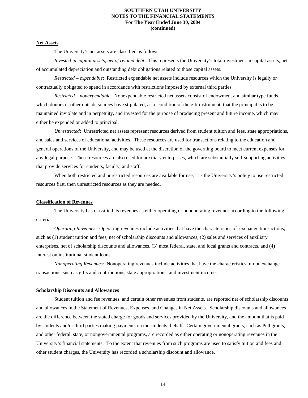#### **Net Assets**

The University's net assets are classified as follows:

 *Invested in capital assets, net of related debt*: This represents the University's total investment in capital assets, net of accumulated depreciation and outstanding debt obligations related to those capital assets.

 *Restricted – expendable*: Restricted expendable net assets include resources which the University is legally or contractually obligated to spend in accordance with restrictions imposed by external third parties.

 *Restricted – nonexpendable*: Nonexpendable restricted net assets consist of endowment and similar type funds which donors or other outside sources have stipulated, as a condition of the gift instrument, that the principal is to be maintained inviolate and in perpetuity, and invested for the purpose of producing present and future income, which may either be expended or added to principal.

 *Unrestricted*: Unrestricted net assets represent resources derived from student tuition and fees, state appropriations, and sales and services of educational activities. These resources are used for transactions relating to the education and general operations of the University, and may be used at the discretion of the governing board to meet current expenses for any legal purpose. These resources are also used for auxiliary enterprises, which are substantially self-supporting activities that provide services for students, faculty, and staff.

 When both restricted and unrestricted resources are available for use, it is the University's policy to use restricted resources first, then unrestricted resources as they are needed.

#### **Classification of Revenues**

 The University has classified its revenues as either operating or nonoperating revenues according to the following criteria:

 *Operating Revenues*: Operating revenues include activities that have the characteristics of exchange transactions, such as (1) student tuition and fees, net of scholarship discounts and allowances, (2) sales and services of auxiliary enterprises, net of scholarship discounts and allowances, (3) most federal, state, and local grants and contracts, and (4) interest on institutional student loans.

 *Nonoperating Revenues*: Nonoperating revenues include activities that have the characteristics of nonexchange transactions, such as gifts and contributions, state appropriations, and investment income.

#### **Scholarship Discounts and Allowances**

 Student tuition and fee revenues, and certain other revenues from students, are reported net of scholarship discounts and allowances in the Statement of Revenues, Expenses, and Changes in Net Assets. Scholarship discounts and allowances are the difference between the stated charge for goods and services provided by the University, and the amount that is paid by students and/or third parties making payments on the students' behalf. Certain governmental grants, such as Pell grants, and other federal, state, or nongovernmental programs, are recorded as either operating or nonoperating revenues in the University's financial statements. To the extent that revenues from such programs are used to satisfy tuition and fees and other student charges, the University has recorded a scholarship discount and allowance.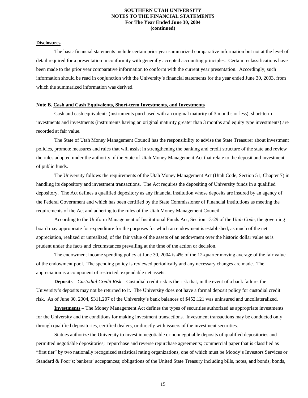#### **Disclosures**

 The basic financial statements include certain prior year summarized comparative information but not at the level of detail required for a presentation in conformity with generally accepted accounting principles. Certain reclassifications have been made to the prior year comparative information to conform with the current year presentation. Accordingly, such information should be read in conjunction with the University's financial statements for the year ended June 30, 2003, from which the summarized information was derived.

#### **Note B. Cash and Cash Equivalents, Short-term Investments, and Investments**

 Cash and cash equivalents (instruments purchased with an original maturity of 3 months or less), short-term investments and investments (instruments having an original maturity greater than 3 months and equity type investments) are recorded at fair value.

 The State of Utah Money Management Council has the responsibility to advise the State Treasurer about investment policies, promote measures and rules that will assist in strengthening the banking and credit structure of the state and review the rules adopted under the authority of the State of Utah Money Management Act that relate to the deposit and investment of public funds.

 The University follows the requirements of the Utah Money Management Act (Utah Code, Section 51, Chapter 7) in handling its depository and investment transactions. The Act requires the depositing of University funds in a qualified depository. The Act defines a qualified depository as any financial institution whose deposits are insured by an agency of the Federal Government and which has been certified by the State Commissioner of Financial Institutions as meeting the requirements of the Act and adhering to the rules of the Utah Money Management Council.

 According to the Uniform Management of Institutional Funds Act, Section 13-29 of the *Utah Code,* the governing board may appropriate for expenditure for the purposes for which an endowment is established, as much of the net appreciation, realized or unrealized, of the fair value of the assets of an endowment over the historic dollar value as is prudent under the facts and circumstances prevailing at the time of the action or decision.

 The endowment income spending policy at June 30, 2004 is 4% of the 12-quarter moving average of the fair value of the endowment pool. The spending policy is reviewed periodically and any necessary changes are made. The appreciation is a component of restricted, expendable net assets.

 **Deposits** *– Custodial Credit Risk* – Custodial credit risk is the risk that, in the event of a bank failure, the University's deposits may not be returned to it. The University does not have a formal deposit policy for custodial credit risk. As of June 30, 2004, \$311,207 of the University's bank balances of \$452,121 was uninsured and uncollateralized.

 **Investments** – The Money Management Act defines the types of securities authorized as appropriate investments for the University and the conditions for making investment transactions. Investment transactions may be conducted only through qualified depositories, certified dealers, or directly with issuers of the investment securities.

 Statues authorize the University to invest in negotiable or nonnegotiable deposits of qualified depositories and permitted negotiable depositories; repurchase and reverse repurchase agreements; commercial paper that is classified as "first tier" by two nationally recognized statistical rating organizations, one of which must be Moody's Investors Services or Standard & Poor's; bankers' acceptances; obligations of the United State Treasury including bills, notes, and bonds; bonds,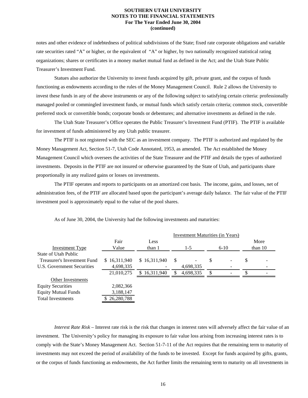notes and other evidence of indebtedness of political subdivisions of the State; fixed rate corporate obligations and variable rate securities rated "A" or higher, or the equivalent of "A" or higher, by two nationally recognized statistical rating organizations; shares or certificates in a money market mutual fund as defined in the Act; and the Utah State Public Treasurer's Investment Fund.

 Statues also authorize the University to invest funds acquired by gift, private grant, and the corpus of funds functioning as endowments according to the rules of the Money Management Council. Rule 2 allows the University to invest these funds in any of the above instruments or any of the following subject to satisfying certain criteria: professionally managed pooled or commingled investment funds, or mutual funds which satisfy certain criteria; common stock, convertible preferred stock or convertible bonds; corporate bonds or debentures; and alternative investments as defined in the rule.

 The Utah State Treasurer's Office operates the Public Treasurer's Investment Fund (PTIF). The PTIF is available for investment of funds administered by any Utah public treasurer.

 The PTIF is not registered with the SEC as an investment company. The PTIF is authorized and regulated by the Money Management Act, Section 51-7, Utah Code Annotated, 1953, as amended. The Act established the Money Management Council which oversees the activities of the State Treasurer and the PTIF and details the types of authorized investments. Deposits in the PTIF are not insured or otherwise guaranteed by the State of Utah, and participants share proportionally in any realized gains or losses on investments.

 The PTIF operates and reports to participants on an amortized cost basis. The income, gains, and losses, net of administration fees, of the PTIF are allocated based upon the participant's average daily balance. The fair value of the PTIF investment pool is approximately equal to the value of the pool shares.

|                             |              |              | Investment Maturities (in Years) |           |    |          |    |           |
|-----------------------------|--------------|--------------|----------------------------------|-----------|----|----------|----|-----------|
|                             | Fair         | Less         |                                  |           |    |          |    | More      |
| <b>Investment Type</b>      | Value        | than 1       |                                  | $1-5$     |    | $6 - 10$ |    | than $10$ |
| State of Utah Public        |              |              |                                  |           |    |          |    |           |
| Treasurer's Investment Fund | \$16,311,940 | \$16,311,940 | -S                               |           | \$ |          | \$ |           |
| U.S. Government Securities  | 4,698,335    |              |                                  | 4,698,335 |    |          |    |           |
|                             | 21,010,275   | 16,311,940   |                                  | 4,698,335 |    |          |    |           |
| Other Investments           |              |              |                                  |           |    |          |    |           |
| <b>Equity Securities</b>    | 2,082,366    |              |                                  |           |    |          |    |           |
| <b>Equity Mutual Funds</b>  | 3,188,147    |              |                                  |           |    |          |    |           |
| <b>Total Investments</b>    | 26,280,788   |              |                                  |           |    |          |    |           |

As of June 30, 2004, the University had the following investments and maturities:

*Interest Rate Risk* – Interest rate risk is the risk that changes in interest rates will adversely affect the fair value of an investment. The University's policy for managing its exposure to fair value loss arising from increasing interest rates is to comply with the State's Money Management Act. Section 51-7-11 of the Act requires that the remaining term to maturity of investments may not exceed the period of availability of the funds to be invested. Except for funds acquired by gifts, grants, or the corpus of funds functioning as endowments, the Act further limits the remaining term to maturity on all investments in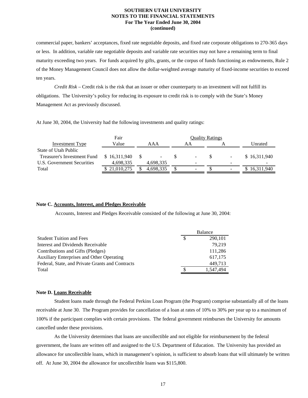commercial paper, bankers' acceptances, fixed rate negotiable deposits, and fixed rate corporate obligations to 270-365 days or less. In addition, variable rate negotiable deposits and variable rate securities may not have a remaining term to final maturity exceeding two years. For funds acquired by gifts, grants, or the corpus of funds functioning as endowments, Rule 2 of the Money Management Council does not allow the dollar-weighted average maturity of fixed-income securities to exceed ten years.

*Credit Risk* – Credit risk is the risk that an issuer or other counterparty to an investment will not fulfill its obligations. The University's policy for reducing its exposure to credit risk is to comply with the State's Money Management Act as previously discussed.

At June 30, 2004, the University had the following investments and quality ratings:

| Fair         | <b>Quality Ratings</b> |           |  |                          |  |                              |              |
|--------------|------------------------|-----------|--|--------------------------|--|------------------------------|--------------|
| Value        |                        | AAA       |  | ΑA                       |  |                              | Unrated      |
|              |                        |           |  |                          |  |                              |              |
| \$16.311.940 |                        |           |  | $\overline{\phantom{a}}$ |  | $\blacksquare$               | \$16,311,940 |
| 4,698,335    |                        | 4,698,335 |  | -                        |  | $\overline{\phantom{0}}$     |              |
| \$21,010,275 |                        | 4.698.335 |  | -                        |  | $\qquad \qquad \blacksquare$ | 16,311,940   |
|              |                        |           |  |                          |  |                              |              |

#### **Note C. Accounts, Interest, and Pledges Receivable**

Accounts, Interest and Pledges Receivable consisted of the following at June 30, 2004:

|                                                  | <b>Balance</b> |
|--------------------------------------------------|----------------|
| <b>Student Tuition and Fees</b>                  | 290,101        |
| Interest and Dividends Receivable                | 79.219         |
| Contributions and Gifts (Pledges)                | 111,286        |
| <b>Auxiliary Enterprises and Other Operating</b> | 617,175        |
| Federal, State, and Private Grants and Contracts | 449,713        |
| Total                                            | 1.547.494      |

#### **Note D. Loans Receivable**

 Student loans made through the Federal Perkins Loan Program (the Program) comprise substantially all of the loans receivable at June 30. The Program provides for cancellation of a loan at rates of 10% to 30% per year up to a maximum of 100% if the participant complies with certain provisions. The federal government reimburses the University for amounts cancelled under these provisions.

 As the University determines that loans are uncollectible and not eligible for reimbursement by the federal government, the loans are written off and assigned to the U.S. Department of Education. The University has provided an allowance for uncollectible loans, which in management's opinion, is sufficient to absorb loans that will ultimately be written off. At June 30, 2004 the allowance for uncollectible loans was \$115,800.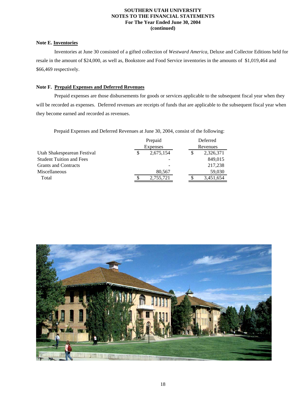#### **Note E. Inventories**

 Inventories at June 30 consisted of a gifted collection of *Westward America,* Deluxe and Collector Editions held for resale in the amount of \$24,000, as well as, Bookstore and Food Service inventories in the amounts of \$1,019,464 and \$66,469 respectively.

#### **Note F. Prepaid Expenses and Deferred Revenues**

 Prepaid expenses are those disbursements for goods or services applicable to the subsequent fiscal year when they will be recorded as expenses. Deferred revenues are receipts of funds that are applicable to the subsequent fiscal year when they become earned and recorded as revenues.

Prepaid Expenses and Deferred Revenues at June 30, 2004, consist of the following:

|                                 | Prepaid         |           |  |  | Deferred  |
|---------------------------------|-----------------|-----------|--|--|-----------|
|                                 | <b>Expenses</b> |           |  |  | Revenues  |
| Utah Shakespearean Festival     |                 | 2,675,154 |  |  | 2,326,371 |
| <b>Student Tuition and Fees</b> |                 |           |  |  | 849,015   |
| <b>Grants and Contracts</b>     |                 |           |  |  | 217,238   |
| Miscellaneous                   |                 | 80,567    |  |  | 59,030    |
| Total                           |                 | 2,755,721 |  |  | 3,451,654 |

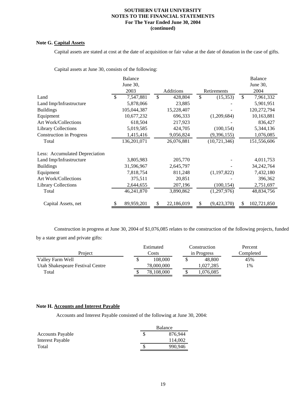#### **Note G. Capital Assets**

Capital assets are stated at cost at the date of acquisition or fair value at the date of donation in the case of gifts.

Capital assets at June 30, consists of the following:

|                                 | <b>Balance</b>   |                  |               |                |     | <b>Balance</b> |
|---------------------------------|------------------|------------------|---------------|----------------|-----|----------------|
|                                 | June 30,         |                  |               |                |     | June 30,       |
|                                 | 2003             | Additions        |               | Retirements    |     | 2004           |
| Land                            | \$<br>7,547,881  | \$<br>428,804    | <sup>\$</sup> | (15,353)       | \$  | 7,961,332      |
| Land Imp/Infrastructure         | 5,878,066        | 23,885           |               |                |     | 5,901,951      |
| <b>Buildings</b>                | 105,044,387      | 15,228,407       |               |                |     | 120,272,794    |
| Equipment                       | 10,677,232       | 696,333          |               | (1,209,684)    |     | 10,163,881     |
| <b>Art Work/Collections</b>     | 618,504          | 217,923          |               |                |     | 836,427        |
| <b>Library Collections</b>      | 5,019,585        | 424,705          |               | (100, 154)     |     | 5,344,136      |
| <b>Construction in Progress</b> | 1,415,416        | 9,056,824        |               | (9,396,155)    |     | 1,076,085      |
| Total                           | 136,201,071      | 26,076,881       |               | (10, 721, 346) |     | 151,556,606    |
| Less: Accumulated Depreciation  |                  |                  |               |                |     |                |
| Land Imp/Infrastructure         | 3,805,983        | 205,770          |               |                |     | 4,011,753      |
| <b>Buildings</b>                | 31,596,967       | 2,645,797        |               |                |     | 34, 242, 764   |
| Equipment                       | 7,818,754        | 811,248          |               | (1, 197, 822)  |     | 7,432,180      |
| <b>Art Work/Collections</b>     | 375,511          | 20,851           |               |                |     | 396,362        |
| <b>Library Collections</b>      | 2,644,655        | 207,196          |               | (100, 154)     |     | 2,751,697      |
| Total                           | 46,241,870       | 3,890,862        |               | (1,297,976)    |     | 48,834,756     |
| Capital Assets, net             | \$<br>89,959,201 | \$<br>22,186,019 | \$            | (9,423,370)    | \$. | 102,721,850    |

 Construction in progress at June 30, 2004 of \$1,076,085 relates to the construction of the following projects, funded by a state grant and private gifts:

|                                  |  | Estimated  |  |  | Construction |           |  |  | Percent |
|----------------------------------|--|------------|--|--|--------------|-----------|--|--|---------|
| Project                          |  | Costs      |  |  | in Progress  | Completed |  |  |         |
| Valley Farm Well                 |  | 108,000    |  |  | 48,800       | 45%       |  |  |         |
| Utah Shakespeare Festival Centre |  | 78,000,000 |  |  | 1.027.285    | 1%        |  |  |         |
| Total                            |  | 78.108.000 |  |  | 1,076,085    |           |  |  |         |

#### **Note H. Accounts and Interest Payable**

Accounts and Interest Payable consisted of the following at June 30, 2004:

|                         | Balance |
|-------------------------|---------|
| <b>Accounts Payable</b> | 876,944 |
| Interest Payable        | 114,002 |
| Total                   | 990.946 |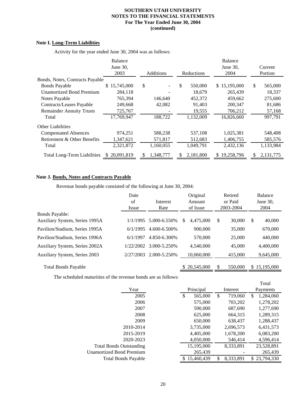#### **Note I. Long-Term Liabilities**

|                                    | Balance           |                  |               | Balance<br>June 30, |               |
|------------------------------------|-------------------|------------------|---------------|---------------------|---------------|
|                                    | June 30,          |                  |               |                     | Current       |
|                                    | 2003              | <b>Additions</b> | Reductions    | 2004                | Portion       |
| Bonds, Notes, Contracts Payable    |                   |                  |               |                     |               |
| <b>Bonds Payable</b>               | 15,745,000<br>S.  | \$               | \$<br>550,000 | \$15,195,000        | \$<br>565,000 |
| <b>Unamortized Bond Premium</b>    | 284,118           |                  | 18,679        | 265,439             | 18,337        |
| Notes Payable                      | 765,394           | 146,640          | 452,372       | 459,662             | 275,600       |
| Contracts/Leases Payable           | 249,668           | 42,082           | 91,403        | 200,347             | 81,686        |
| <b>Remainder Annuity Trusts</b>    | 725,767           |                  | 19,555        | 706,212             | 57,168        |
| Total                              | 17,769,947        | 188,722          | 1,132,009     | 16,826,660          | 997,791       |
| <b>Other Liabilities</b>           |                   |                  |               |                     |               |
| <b>Compensated Absences</b>        | 974,251           | 588,238          | 537.108       | 1,025,381           | 548,408       |
| Retirement & Other Benefits        | 1,347,621         | 571,817          | 512,683       | 1,406,755           | 585,576       |
| Total                              | 2,321,872         | 1,160,055        | 1,049,791     | 2,432,136           | 1,133,984     |
| <b>Total Long-Term Liabilities</b> | 20,091,819<br>\$. | 1,348,777        | 2,181,800     | 19,258,796<br>S.    | 2,131,775     |

Activity for the year ended June 30, 2004 was as follows:

#### **Note J. Bonds, Notes and Contracts Payable**

Revenue bonds payable consisted of the following at June 30, 2004:

|                                | Date<br>of<br>Interest<br>Rate<br>Issue |               | Original<br>Amount<br>of Issue |     | Retired<br>or Paid<br>2003-2004 |    | <b>Balance</b><br>June $30$ .<br>2004 |  |
|--------------------------------|-----------------------------------------|---------------|--------------------------------|-----|---------------------------------|----|---------------------------------------|--|
| <b>Bonds Payable:</b>          |                                         |               |                                |     |                                 |    |                                       |  |
| Auxiliary System, Series 1995A | 1/1/1995                                | 5.000-6.550\% | 4,475,000<br>\$.               | \$  | 30,000                          | \$ | 40,000                                |  |
| Pavilion/Stadium, Series 1995A | 6/1/1995                                | 4.600-6.500%  | 900,000                        |     | 35,000                          |    | 670,000                               |  |
| Pavilion/Stadium, Series 1996A | 6/1/1997                                | 4.850-6.300%  | 570,000                        |     | 25,000                          |    | 440,000                               |  |
| Auxiliary System, Series 2002A | 1/22/2002                               | 3.000-5.250%  | 4,540,000                      |     | 45,000                          |    | 4,400,000                             |  |
| Auxiliary System, Series 2003  | 2/27/2003                               | 2.000-5.250\% | 10,060,000                     |     | 415,000                         |    | 9,645,000                             |  |
| <b>Total Bonds Payable</b>     |                                         |               | \$20,545,000                   | \$. | 550,000                         |    | \$15,195,000                          |  |

The scheduled maturities of the revenue bonds are as follows:

|                                 |               |                 |    | Total      |
|---------------------------------|---------------|-----------------|----|------------|
| Year                            | Principal     | Interest        |    | Payments   |
| 2005                            | \$<br>565,000 | \$<br>719,060   | \$ | 1,284,060  |
| 2006                            | 575,000       | 703,202         |    | 1,278,202  |
| 2007                            | 590,000       | 687,690         |    | 1,277,690  |
| 2008                            | 625,000       | 664.315         |    | 1,289,315  |
| 2009                            | 650,000       | 638,437         |    | 1,288,437  |
| 2010-2014                       | 3,735,000     | 2,696,573       |    | 6,431,573  |
| 2015-2019                       | 4,405,000     | 1,678,200       |    | 6,083,200  |
| 2020-2023                       | 4,050,000     | 546,414         |    | 4,596,414  |
| <b>Total Bonds Outstanding</b>  | 15,195,000    | 8,333,891       |    | 23,528,891 |
| <b>Unamortized Bond Premium</b> | 265,439       |                 |    | 265,439    |
| <b>Total Bonds Payable</b>      | 15.460.439    | \$<br>8,333,891 | S. | 23.794.330 |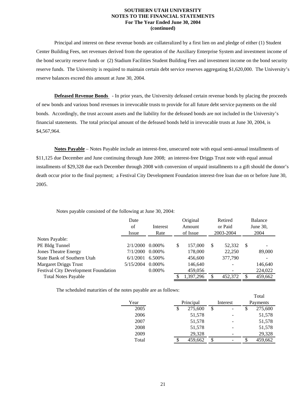Principal and interest on these revenue bonds are collateralized by a first lien on and pledge of either (1) Student Center Building Fees, net revenues derived from the operation of the Auxiliary Enterprise System and investment income of the bond security reserve funds or (2) Stadium Facilities Student Building Fees and investment income on the bond security reserve funds. The University is required to maintain certain debt service reserves aggregating \$1,620,000. The University's reserve balances exceed this amount at June 30, 2004.

 **Defeased Revenue Bonds** - In prior years, the University defeased certain revenue bonds by placing the proceeds of new bonds and various bond revenues in irrevocable trusts to provide for all future debt service payments on the old bonds. Accordingly, the trust account assets and the liability for the defeased bonds are not included in the University's financial statements. The total principal amount of the defeased bonds held in irrevocable trusts at June 30, 2004, is \$4,567,964.

 **Notes Payable** – Notes Payable include an interest-free, unsecured note with equal semi-annual installments of \$11,125 due December and June continuing through June 2008; an interest-free Driggs Trust note with equal annual installments of \$29,328 due each December through 2008 with conversion of unpaid installments to a gift should the donor's death occur prior to the final payment; a Festival City Development Foundation interest-free loan due on or before June 30, 2005.

|                                             | Date<br>of<br>Issue | Interest<br>Rate | Original<br>Amount<br>of Issue |           | Retired<br>or Paid<br>2003-2004 |                          | Balance<br>June 30,<br>2004 |                          |
|---------------------------------------------|---------------------|------------------|--------------------------------|-----------|---------------------------------|--------------------------|-----------------------------|--------------------------|
| Notes Payable:                              |                     |                  |                                |           |                                 |                          |                             |                          |
| PE Bldg Tunnel                              | 2/1/2000            | $0.000\%$        | \$                             | 157,000   | S                               | 52,332                   | -S                          | $\overline{\phantom{a}}$ |
| <b>Jones Theatre Energy</b>                 | 7/1/2000            | 0.000%           |                                | 178,000   |                                 | 22,250                   |                             | 89,000                   |
| <b>State Bank of Southern Utah</b>          | 6/1/2001            | 6.500\%          |                                | 456,600   |                                 | 377,790                  |                             |                          |
| <b>Margaret Driggs Trust</b>                | 5/15/2004           | $0.000\%$        |                                | 146,640   |                                 | $\overline{\phantom{0}}$ |                             | 146,640                  |
| <b>Festival City Development Foundation</b> |                     | 0.000%           |                                | 459,056   |                                 |                          |                             | 224,022                  |
| <b>Total Notes Payable</b>                  |                     |                  | \$                             | 1.397.296 |                                 | 452,372                  | S                           | 459,662                  |

Notes payable consisted of the following at June 30, 2004:

The scheduled maturities of the notes payable are as follows:

|       |           |         |          |  |   | 1 o tai  |  |
|-------|-----------|---------|----------|--|---|----------|--|
| Year  | Principal |         | Interest |  |   | Payments |  |
| 2005  |           | 275,600 | \$       |  | S | 275,600  |  |
| 2006  |           | 51,578  |          |  |   | 51,578   |  |
| 2007  |           | 51,578  |          |  |   | 51,578   |  |
| 2008  |           | 51,578  |          |  |   | 51,578   |  |
| 2009  |           | 29,328  |          |  |   | 29,328   |  |
| Total |           | 459,662 | \$       |  |   | 459,662  |  |

Total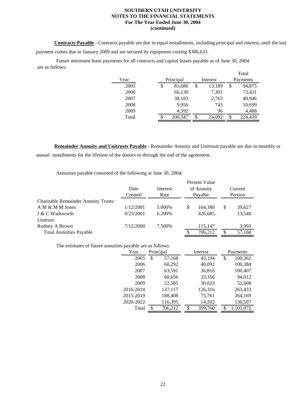**Contracts Payable** - Contracts payable are due in equal installments, including principal and interest, until the last payment comes due in January 2009 and are secured by equipment costing \$386,633.

 Future minimum lease payments for all contracts and capital leases payable as of June 30, 2004 are as follows: Total

|       |           |         |          |        | 1 otal        |
|-------|-----------|---------|----------|--------|---------------|
| Year  | Principal |         | Interest |        | Payments      |
| 2005  | \$        | 81,686  | \$       | 13,189 | \$<br>94,875  |
| 2006  |           | 66,130  |          | 7,301  | 73,431        |
| 2007  |           | 38,183  |          | 2,763  | 40,946        |
| 2008  |           | 9,956   |          | 743    | 10,699        |
| 2009  |           | 4,392   |          | 96     | 4,488         |
| Total |           | 200,347 |          | 24,092 | \$<br>224,439 |

 **Remainder Annuity and Unitrusts Payable** - Remainder Annuity and Unitrusts payable are due in monthly or annual installments for the lifetime of the donors or through the end of the agreement.

Annuities payable consisted of the following at June 30, 2004:

|                                             |           |          |   | Present Value |         |         |  |  |  |
|---------------------------------------------|-----------|----------|---|---------------|---------|---------|--|--|--|
|                                             | Date      | Interest |   | of Annuity    | Current |         |  |  |  |
|                                             | Created   | Rate     |   | Payable       |         | Portion |  |  |  |
| <b>Charitable Remainder Annuity Trusts:</b> |           |          |   |               |         |         |  |  |  |
| A M & M M Jones                             | 1/12/2001 | 5.000\%  | S | 164,380       | S       | 39,627  |  |  |  |
| J & C Wadsworth                             | 9/25/2001 | 6.200\%  |   | 426,685       |         | 13,548  |  |  |  |
| Unitrust:                                   |           |          |   |               |         |         |  |  |  |
| Rodney A Brown                              | 7/12/2000 | 7.500%   |   | 115,147       |         | 3,993   |  |  |  |
| <b>Total Annuities Payable</b>              |           |          | S | 706.212       | S       | 57,168  |  |  |  |

The estimates of future annuities payable are as follows:

| Year      | Principal    | Interest      | Payments        |  |
|-----------|--------------|---------------|-----------------|--|
| 2005      | \$<br>57,168 | 43,194        | 100,362<br>\$   |  |
| 2006      | 60,292       | 40,092        | 100,384         |  |
| 2007      | 63,591       | 36,816        | 100,407         |  |
| 2008      | 60,656       | 33,356        | 94,012          |  |
| 2009      | 22,585       | 30,023        | 52,608          |  |
| 2010-2014 | 137,117      | 126,316       | 263,433         |  |
| 2015-2019 | 188,408      | 75,761        | 264,169         |  |
| 2020-2022 | 116,395      | 14,202        | 130,597         |  |
| Total     | 706,212<br>S | 399,760<br>\$ | 1,105,972<br>\$ |  |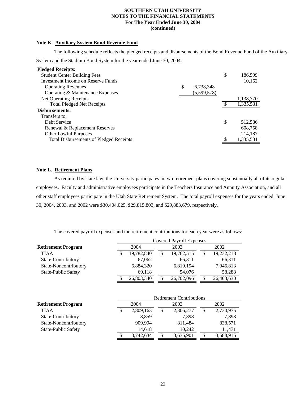#### **Note K. Auxiliary System Bond Revenue Fund**

 The following schedule reflects the pledged receipts and disbursements of the Bond Revenue Fund of the Auxiliary System and the Stadium Bond System for the year ended June 30, 2004:

| <b>Pledged Receipts:</b>                       |                 |   |           |
|------------------------------------------------|-----------------|---|-----------|
| <b>Student Center Building Fees</b>            |                 | S | 186,599   |
| Investment Income on Reserve Funds             |                 |   | 10,162    |
| <b>Operating Revenues</b>                      | \$<br>6,738,348 |   |           |
| Operating & Maintenance Expenses               | (5,599,578)     |   |           |
| <b>Net Operating Receipts</b>                  |                 |   | 1,138,770 |
| <b>Total Pledged Net Receipts</b>              |                 |   | 1,335,531 |
| Disbursements:                                 |                 |   |           |
| Transfers to:                                  |                 |   |           |
| Debt Service                                   |                 | S | 512,586   |
| Renewal & Replacement Reserves                 |                 |   | 608,758   |
| <b>Other Lawful Purposes</b>                   |                 |   | 214,187   |
| <b>Total Disbursements of Pledged Receipts</b> |                 |   | 1,335,531 |

#### **Note L. Retirement Plans**

 As required by state law, the University participates in two retirement plans covering substantially all of its regular employees. Faculty and administrative employees participate in the Teachers Insurance and Annuity Association, and all other staff employees participate in the Utah State Retirement System. The total payroll expenses for the years ended June 30, 2004, 2003, and 2002 were \$30,404,025, \$29,815,803, and \$29,883,679, respectively.

The covered payroll expenses and the retirement contributions for each year were as follows:

|                            | <b>Covered Payroll Expenses</b> |    |            |  |            |
|----------------------------|---------------------------------|----|------------|--|------------|
| <b>Retirement Program</b>  | 2004                            |    | 2003       |  | 2002       |
| <b>TIAA</b>                | 19,782,840                      | \$ | 19,762,515 |  | 19,232,218 |
| State-Contributory         | 67,062                          |    | 66.311     |  | 66,311     |
| State-Noncontributory      | 6,884,320                       |    | 6,819,194  |  | 7,046,813  |
| <b>State-Public Safety</b> | 69.118                          |    | 54,076     |  | 58,288     |
|                            | 26,803,340                      | \$ | 26,702,096 |  | 26,403,630 |

|                            |      | <b>Retirement Contributions</b> |      |           |      |           |
|----------------------------|------|---------------------------------|------|-----------|------|-----------|
| <b>Retirement Program</b>  | 2004 |                                 | 2003 |           | 2002 |           |
| TIAA                       | S    | 2,809,163                       | \$   | 2,806,277 |      | 2,730,975 |
| State-Contributory         |      | 8.859                           |      | 7.898     |      | 7.898     |
| State-Noncontributory      |      | 909.994                         |      | 811,484   |      | 838,571   |
| <b>State-Public Safety</b> |      | 14,618                          |      | 10,242    |      | 11.471    |
|                            |      | 3,742,634                       |      | 3,635,901 |      | 3,588,915 |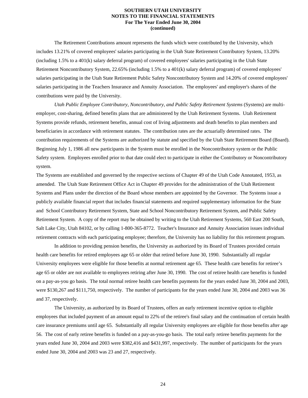The Retirement Contributions amount represents the funds which were contributed by the University, which includes 13.21% of covered employees' salaries participating in the Utah State Retirement Contributory System, 13.20% (including 1.5% to a 401(k) salary deferral program) of covered employees' salaries participating in the Utah State Retirement Noncontributory System, 22.65% (including 1.5% to a 401(k) salary deferral program) of covered employees' salaries participating in the Utah State Retirement Public Safety Noncontributory System and 14.20% of covered employees' salaries participating in the Teachers Insurance and Annuity Association. The employees' and employer's shares of the contributions were paid by the University.

 *Utah Public Employee Contributory, Noncontributory, and Public Safety Retirement Systems* (Systems) are multiemployer, cost-sharing, defined benefits plans that are administered by the Utah Retirement Systems. Utah Retirement Systems provide refunds, retirement benefits, annual cost of living adjustments and death benefits to plan members and beneficiaries in accordance with retirement statutes. The contribution rates are the actuarially determined rates. The contribution requirements of the Systems are authorized by statute and specified by the Utah State Retirement Board (Board). Beginning July 1, 1986 all new participants in the System must be enrolled in the Noncontributory system or the Public Safety system. Employees enrolled prior to that date could elect to participate in either the Contributory or Noncontributory system.

The Systems are established and governed by the respective sections of Chapter 49 of the Utah Code Annotated, 1953, as amended. The Utah State Retirement Office Act in Chapter 49 provides for the administration of the Utah Retirement Systems and Plans under the direction of the Board whose members are appointed by the Governor. The Systems issue a publicly available financial report that includes financial statements and required supplementary information for the State and School Contributory Retirement System, State and School Noncontributory Retirement System, and Public Safety Retirement System. A copy of the report may be obtained by writing to the Utah Retirement Systems, 560 East 200 South, Salt Lake City, Utah 84102, or by calling 1-800-365-8772. Teacher's Insurance and Annuity Association issues individual retirement contracts with each participating employee; therefore, the University has no liability for this retirement program.

 In addition to providing pension benefits, the University as authorized by its Board of Trustees provided certain health care benefits for retired employees age 65 or older that retired before June 30, 1990. Substantially all regular University employees were eligible for those benefits at normal retirement age 65. These health care benefits for retiree's age 65 or older are not available to employees retiring after June 30, 1990. The cost of retiree health care benefits is funded on a pay-as-you go basis. The total normal retiree health care benefits payments for the years ended June 30, 2004 and 2003, were \$130,267 and \$111,750, respectively. The number of participants for the years ended June 30, 2004 and 2003 was 36 and 37, respectively.

 The University, as authorized by its Board of Trustees, offers an early retirement incentive option to eligible employees that included payment of an amount equal to 22% of the retiree's final salary and the continuation of certain health care insurance premiums until age 65. Substantially all regular University employees are eligible for those benefits after age 56. The cost of early retiree benefits is funded on a pay-as-you-go basis. The total early retiree benefits payments for the years ended June 30, 2004 and 2003 were \$382,416 and \$431,997, respectively. The number of participants for the years ended June 30, 2004 and 2003 was 23 and 27, respectively.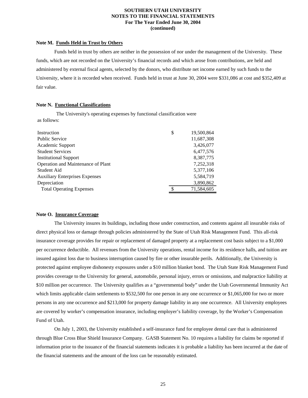#### **Note M. Funds Held in Trust by Others**

 Funds held in trust by others are neither in the possession of nor under the management of the University. These funds, which are not recorded on the University's financial records and which arose from contributions, are held and administered by external fiscal agents, selected by the donors, who distribute net income earned by such funds to the University, where it is recorded when received. Funds held in trust at June 30, 2004 were \$331,086 at cost and \$352,409 at fair value.

#### **Note N. Functional Classifications**

 The University's operating expenses by functional classification were as follows:

| Instruction                           | \$ | 19,500,864 |
|---------------------------------------|----|------------|
| <b>Public Service</b>                 |    | 11,687,308 |
| Academic Support                      |    | 3,426,077  |
| <b>Student Services</b>               |    | 6,477,576  |
| <b>Institutional Support</b>          |    | 8,387,775  |
| Operation and Maintenance of Plant    |    | 7,252,318  |
| Student Aid                           |    | 5,377,106  |
| <b>Auxiliary Enterprises Expenses</b> |    | 5,584,719  |
| Depreciation                          |    | 3,890,862  |
| <b>Total Operating Expenses</b>       | ¢  | 71,584,605 |
|                                       |    |            |

#### **Note O. Insurance Coverage**

 The University insures its buildings, including those under construction, and contents against all insurable risks of direct physical loss or damage through policies administered by the State of Utah Risk Management Fund. This all-risk insurance coverage provides for repair or replacement of damaged property at a replacement cost basis subject to a \$1,000 per occurrence deductible. All revenues from the University operations, rental income for its residence halls, and tuition are insured against loss due to business interruption caused by fire or other insurable perils. Additionally, the University is protected against employee dishonesty exposures under a \$10 million blanket bond. The Utah State Risk Management Fund provides coverage to the University for general, automobile, personal injury, errors or omissions, and malpractice liability at \$10 million per occurrence. The University qualifies as a "governmental body" under the Utah Governmental Immunity Act which limits applicable claim settlements to \$532,500 for one person in any one occurrence or \$1,065,000 for two or more persons in any one occurrence and \$213,000 for property damage liability in any one occurrence. All University employees are covered by worker's compensation insurance, including employer's liability coverage, by the Worker's Compensation Fund of Utah.

 On July 1, 2003, the University established a self-insurance fund for employee dental care that is administered through Blue Cross Blue Shield Insurance Company. GASB Statement No. 10 requires a liability for claims be reported if information prior to the issuance of the financial statements indicates it is probable a liability has been incurred at the date of the financial statements and the amount of the loss can be reasonably estimated.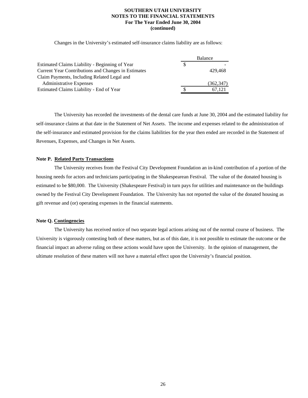Changes in the University's estimated self-insurance claims liability are as follows:

|                                                     | Balance |            |  |
|-----------------------------------------------------|---------|------------|--|
| Estimated Claims Liability - Beginning of Year      |         |            |  |
| Current Year Contributions and Changes in Estimates |         | 429.468    |  |
| Claim Payments, Including Related Legal and         |         |            |  |
| <b>Administrative Expenses</b>                      |         | (362, 347) |  |
| Estimated Claims Liability - End of Year            |         | 67.121     |  |

 The University has recorded the investments of the dental care funds at June 30, 2004 and the estimated liability for self-insurance claims at that date in the Statement of Net Assets. The income and expenses related to the administration of the self-insurance and estimated provision for the claims liabilities for the year then ended are recorded in the Statement of Revenues, Expenses, and Changes in Net Assets.

#### **Note P. Related Party Transactions**

 The University receives from the Festival City Development Foundation an in-kind contribution of a portion of the housing needs for actors and technicians participating in the Shakespearean Festival. The value of the donated housing is estimated to be \$80,000. The University (Shakespeare Festival) in turn pays for utilities and maintenance on the buildings owned by the Festival City Development Foundation. The University has not reported the value of the donated housing as gift revenue and (or) operating expenses in the financial statements.

#### **Note Q. Contingencies**

 The University has received notice of two separate legal actions arising out of the normal course of business. The University is vigorously contesting both of these matters, but as of this date, it is not possible to estimate the outcome or the financial impact an adverse ruling on these actions would have upon the University. In the opinion of management, the ultimate resolution of these matters will not have a material effect upon the University's financial position.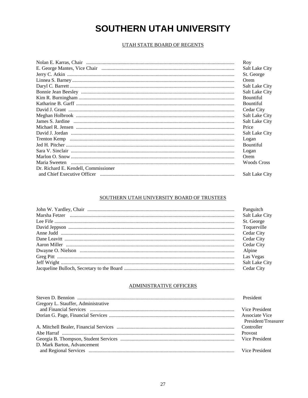#### UTAH STATE BOARD OF REGENTS

|                                      | Roy                   |
|--------------------------------------|-----------------------|
|                                      | Salt Lake City        |
|                                      | St. George            |
|                                      | Orem                  |
|                                      | <b>Salt Lake City</b> |
|                                      | <b>Salt Lake City</b> |
|                                      | <b>Bountiful</b>      |
|                                      | <b>Bountiful</b>      |
|                                      | Cedar City            |
|                                      | <b>Salt Lake City</b> |
|                                      | Salt Lake City        |
|                                      | Price                 |
|                                      | <b>Salt Lake City</b> |
|                                      | Logan                 |
|                                      | <b>Bountiful</b>      |
|                                      | Logan                 |
|                                      | Orem                  |
|                                      | Woods Cross           |
| Dr. Richard E. Kendell, Commissioner |                       |
|                                      | <b>Salt Lake City</b> |

#### SOUTHERN UTAH UNIVERSITY BOARD OF TRUSTEES

| Panguitch      |
|----------------|
| Salt Lake City |
| St. George     |
| Toquerville    |
| Cedar City     |
| Cedar City     |
| Cedar City     |
| Alpine         |
| Las Vegas      |
| Salt Lake City |
| Cedar City     |
|                |

#### ADMINISTRATIVE OFFICERS

|                                     | President           |
|-------------------------------------|---------------------|
| Gregory L. Stauffer, Administrative |                     |
|                                     | Vice President      |
|                                     | Associate Vice      |
|                                     | President/Treasurer |
|                                     | Controller          |
|                                     | <b>Provost</b>      |
|                                     | Vice President      |
| D. Mark Barton, Advancement         |                     |
|                                     | Vice President      |